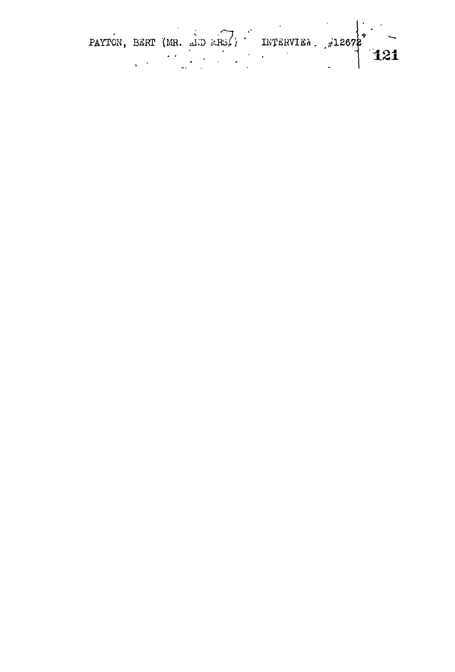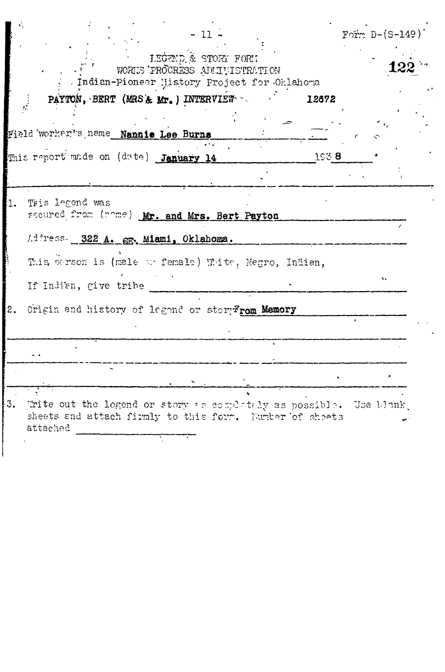|    | - 11                                                                                                                                       | Form $D-(S-149)$ |
|----|--------------------------------------------------------------------------------------------------------------------------------------------|------------------|
|    | LEGEND & STORY FOR!<br>WORKS PROCRESS ADMITISTRATION<br>. Indian-Pioneer History Project for Oklahoma                                      |                  |
|    | PAYTON, BERT (MRS & Mr.) INTERVIEW<br>12672                                                                                                |                  |
|    | Field worker's name Nannie Lee Burns                                                                                                       |                  |
|    | This report made on (date) January 14                                                                                                      | 1938             |
|    |                                                                                                                                            |                  |
| 1. | This legend was<br>secured from (nome) Mr. and Mrs. Bert Payton                                                                            |                  |
|    | Address. 322 A. SE. Miami, Oklahoma.                                                                                                       |                  |
|    | This person is (male we female) Thite, Negro, Indian,                                                                                      |                  |
|    | If Indian, give tribe                                                                                                                      |                  |
| 2. | Origin and history of legend or story rom Memory                                                                                           |                  |
|    |                                                                                                                                            |                  |
|    |                                                                                                                                            |                  |
|    |                                                                                                                                            |                  |
| 3. | Write out the legend or story as completely as possible. Use blank,<br>sheets and attach firmly to this form. Number of sheets<br>attached |                  |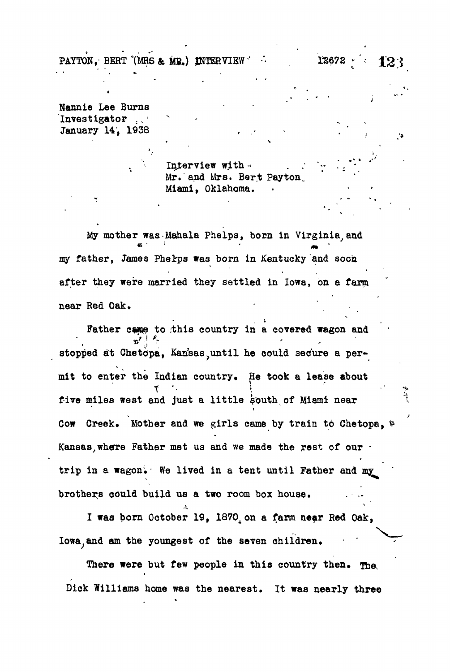**PAYTON, BERT (MRS & MR.) INTERVIEW •**  $\cdot$  **12672**  $\cdot$  $\cdot$  **123** 

 $\bullet$ 

**Nannie Lee Burns Investigator ,, ' January 14, 1938**

> **Interview with- .** Mr. and Mrs. Bert Payton. **Miami, Oklahoma.**

**My mother was-Mahala Phelps, born in Virginia,and my father, James Phelrps was born in Kentucky and soon after they were married they settled in Iowa, on a farm near Red Oak. - .**

Father came to this country in a covered wagon and stopped at Chetopa, Kan'sas until he could secure a per**mit to enter the Indian country. He took a lease about t '• \** five miles west and just a little south of Miami near **Cow Creek. Mother and we girls came by train to Chetopa, ^** Kansas, where Father met us and we made the rest of our **trip in a wagon; We lived in a tent until Father and my** brothers could build us a two room box house.

I was born October 19, 1870, on a farm near Red Oak, **Iowa;and am the youngest of the seven children.**

There were but few people in this country then. The **Dick Williams home was the nearest. It was nearly three**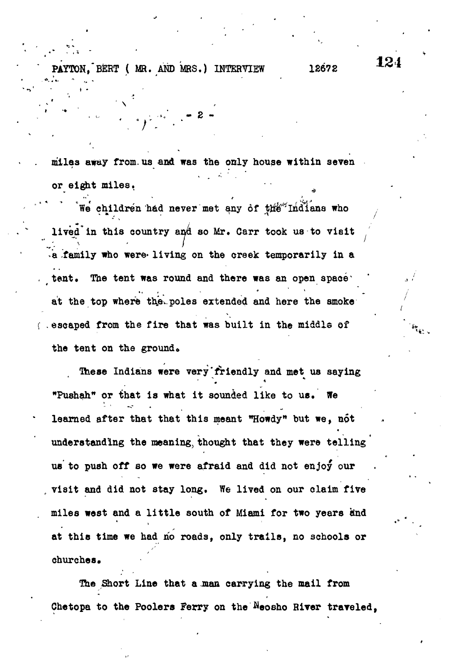**PAYTON, BERT (**  $\theta$  ) is a set of the set of the set of the set of the set of the set of the set of the set of the set of the set of the set of the set of the set of the set of the set of the set of the set of the set of

12672

**miles away from.us and was the only house within seven or eight miles.**

**• -\*/ «• £ -**

**We' children had never met any of X\$f<sup>r</sup> Indiana who** lived in this country and so Mr. Carr took us to visit **>a -family who were» living on the creek temporarily in a** tent. The tent was round and there was an open space' at the top where the poles extended and here the smoke **{ .escaped from the fire that was built in the middle of ' \*<sup>v</sup>** the tent on the ground.

**These Indians were very'friendly and met us saying "Pushah" or ihat is what it sounded like to ue. We learned after that that this meant "Howdy<sup>n</sup> but we, not understanding the meaning, thought that they were telling us to push off so we were afraid and did not enjoy our , visit and did not stay long. We lived on our claim five miles west and a little south of Miami for two years iind** at this time we had no roads, only trails, no schools or **at this time we had no roads, only trails, no schools or**

The Short Line that a man carrying the mail from Chetopa to the Poolers Ferry on the Meosho River traveled.

**Chetopa to the Poolers Ferry on the ^eosho RiTer traveled,**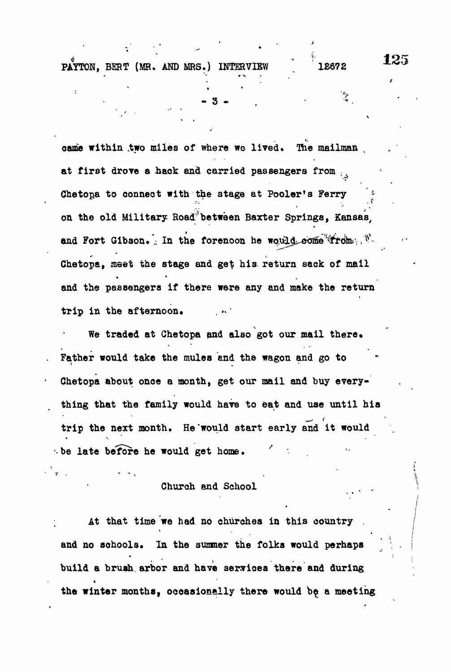came within two miles of where we lived. The mailman at first drove a hack and carried passengers from ... Chetopa to connect with the stage at Pooler's Ferry **on the old Military Road between Baxter Springs, Kansas,** and Fort Gibson. In the forenoon he would come trom. **Chetopa, meet the stage and ge\$ his. return sack of mail and the passengers if there were any and make the return trip in the afternoon.**

We traded at Chetopa and also got our mail there. **Father would take the mules and the wagon and go to Chetopa about once a month, get our mail and buy everything that the family would have to eat and use until his trip the next month. He'would start early and it would be late before he would get home. / '• .**

# Church and School

**At that time we had no churches in this country .** t and no schools. In the summer the folks would perhaps **build a brush.arbor and have services there and during the winter months, occasionally there would be a meeting**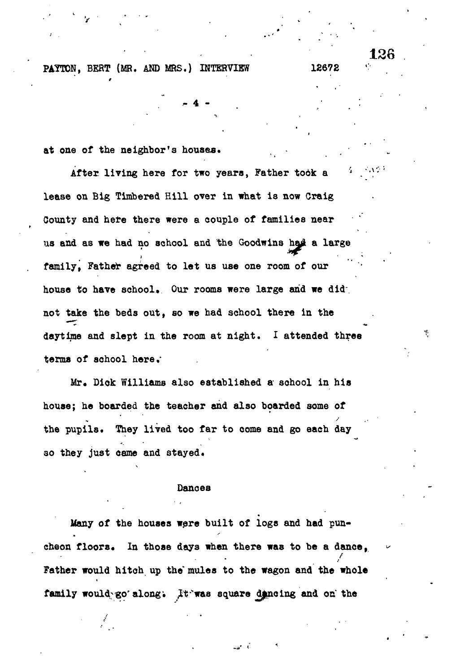**at one of the neighbor's houses. •**

After living here for two years, Father took a **lease on Big Timbered Hill over in what is now Craig County and here there were a couple of families near us and as we had no school and the Goodwins ha£ a large family, Father agreed to let us use one room of our** house to have school. Our rooms were large and we did; **not take the beds out, so we had school there in the daytime and slept in the room at night. I attended three terms of school here,\***

**4 -**

128

Mr. Dick Williams also established a school in his **house; he boarded the teacher and also boarded some of** the pupils. They lived too far to come and go each day ao they just came and stayed.

#### **Dances**

**Many of the houses were built of logs and had pun**cheon floors. In those days when there was to be a dance, **/ Father would hitch up the\* mules to the wagon and the whole**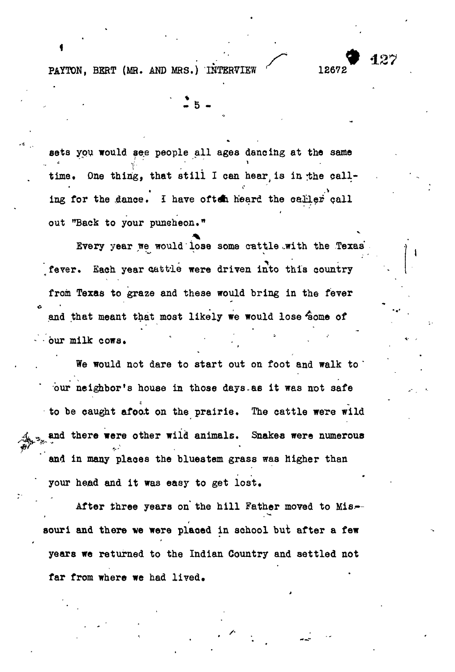**sets you would see people all ages dancing at the same** time. One thing, that still I can hear is in the calling for the dance. I have often heard the caller call **out "Back to your puneheon."**

**- 5 -**

**Every year we would lose some cattle ..with the Texas fever. Each year oat tie were driven into this country from Texas to graze and these would bring in the fever and that meant that most likely we would lose 4\$ome of - our milk cows. \* -**

**We would not dare to start out on foot and walk to ' bur neighbor's house in those days.as it was not safe to be caught afoat on the prairie. The cattle were wild and there were other wild animals. Snakes were numerous** and in many places the bluestem grass was higher than your head and it was easy to get lost.

After three years on the hill Father moved to Missouri and there we were placed in school but after a few years we returned to the Indian Country and settled not far from where we had lived.

**far from where we had lived.**

427

v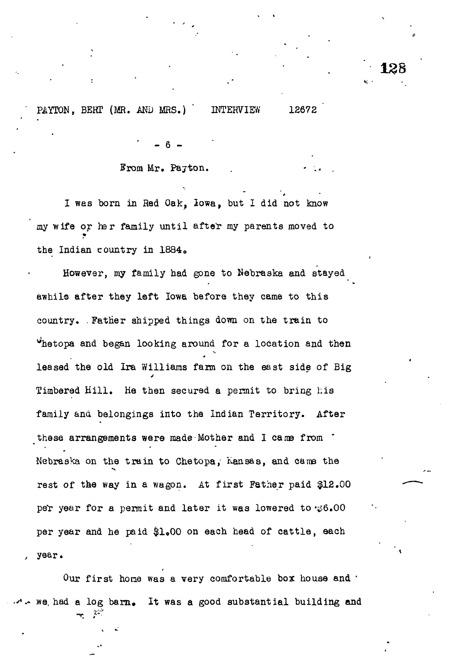# Brom Mr. Payton.

 $6$ 

I was born in Red Oak, Iowa, but I did not know my wife or her family until after my parents moved to the Indian country in 1884»

However, my family had gone to Nebraska and stayed awhile after they left Iowa before they came to this country. .Father shipped things down on the train to ^hetopa and began looking around for a location and then leased the old Ira Williams farm on the east side of Big Timbered Hill. He then secured a permit to bring his family and belongings into the Indian Territory. After these arrangements were made Mother and I came from  $\cdot$ Nebraska on the train to Chetopa; Kansas, and cams the rest of the way in a wagon. At first Father paid \$12.00 per year for a permit and later it was lowered to  $\ddot{\psi}6.00$ per year and he paid \$1.00 on each head of cattle, each year.

Our first home was a very comfortable box house and ' we, had a log barn. It was a good substantial building and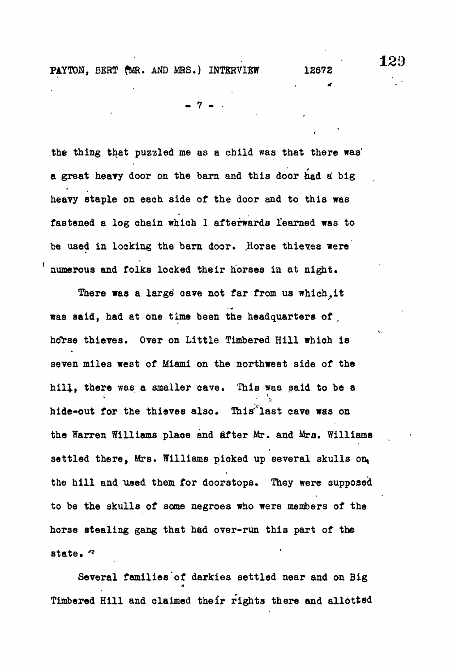c

**- 7 - -**

**the thing that puzzled me as a child was that there was' a great heavy door on the barn and this door had a big heavy staple on each side of the door and to this was fastened a log chain which I afterwards learned was to** be used in locking the barn door. Horse thieves were **numerous and folks locked their horses ia at night.**

There was a large cave not far from us which, it **was said, had at one time been the headquarters of , hdrse thieves. Over on Little Timbered Hill which is seven miles west of Miami oh the northwest side of the hill, there was a smaller cave. This was said to be a hide-out for the thieves also. This\*''last cave was on the Warren Williams place and after Mr. and Mrs. Williams settled there, Mrs. Williams picked up several skulls on, the hill and used them for doorstops. They were supposed to be the skulls of some negroes who were members of the horse stealing gang that had over-run this part of the state. \***

**Several families of darkies settled near and on Big Timbered Hill and claimed their rights there and allotted**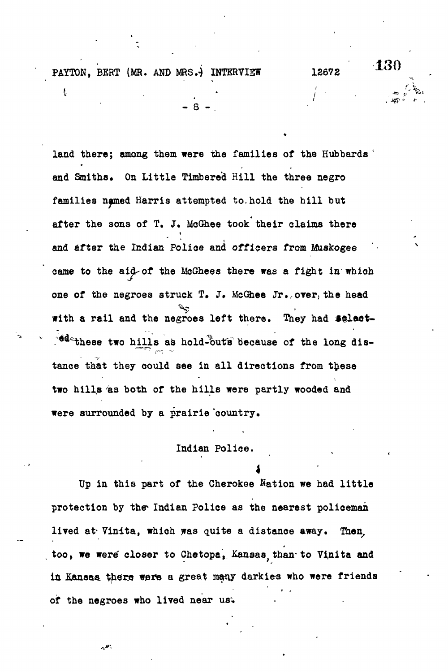ŧ

**130** 

**land there; among them were the families of the Hubbards ' and Staiths, On Little Timbered Hill the three negro families npmed Harris attempted to. hold the hill but after the sons of T. J. McGhee took their claims there and after the Indian Police and officers from Muskogee came to the aid-of the McGhees there was a fight in which one of the negroes struck T. J. McGhee Jr.,over, the head with a rail and the negroes left there. They had tglaot-** <sup>8</sup>d<sup>2</sup> these two hills as hold-outs because of the long dis**tance that they could see in all directions from these two hills 'as both of the hills were partly wooded and were surrounded by a prairie 'country,**

**- 8 - .**

# **Indian Police.**

**4 Up in this part of the Cherokee Nation we had little** protection by the Indian Police as the nearest policeman **lived at- Vinita, which was quite a distance away. Then,** too, we were closer to Chetopa, Kansas, than to Vinita and in Kansas there were a great many darkies who were friends **of the negroes who lived near us.**

بهجرير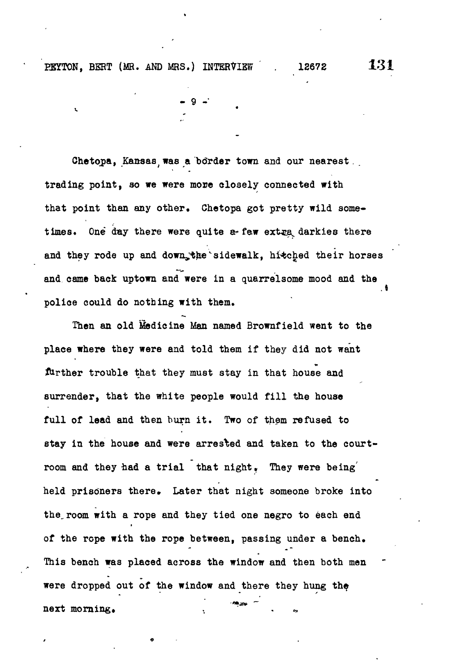PEYTON, BERT (MR. AND MRS.) INTERVIEW . 12672 131

**Chetopa, Kansast was a border town and our nearest. . trading point, so we were more closely connected with that point than any other. Chetopa got pretty wild some**times. One day there were quite a<sub>"</sub> few extra darkies there and they rode up and down the sidewalk, hitched their horses **and came back uptown and were in a quarrelsome mood and the police could do nothing with them.**

 $-9 -$ 

**Then an old Medicine Man named Brownfield went to the place where they were and told them if they did not want** further trouble that they must stay in that house and **surrender, that the white people would fill the house full of lead and then burn it. Two of them refused to stay in the house and were arrested and taken to the courtroom and they had a trial that night» They were being'** held prisoners there. Later that night someone broke into **the.room with a rope and they tied one negro to 6ach end \* of the rope with the rope between, passing under a bench.** This bench was placed across the window and then both men **This bench was placed across the window and then both men were dropped out of the window and there they hung the** next morning.  $\mathcal{L} \in \mathcal{L}$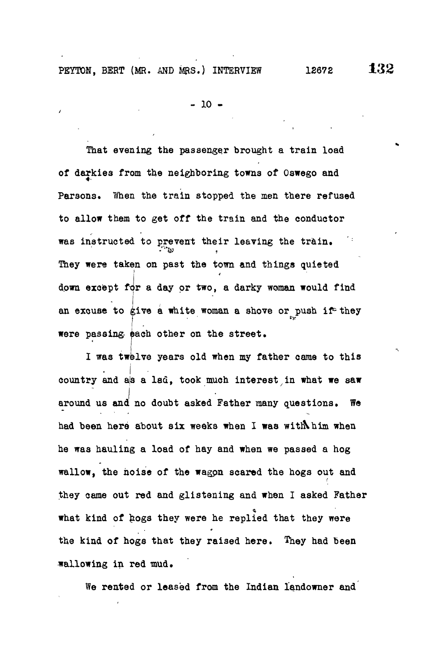PEYTON, BERT (MR. AND MRS.) INTERVIEW 12672 132

- 10 -

That evening the passenger brought a train load of darkies from the neighboring towns of Oswego and Parsons. When the train stopped the men there refused to allow them to get off the train and the conductor was instructed to prevent their leaving the train. They were taken on past the town and things quieted **I** down except for a day or two, a darky woman would find  $\cdot$   $\cdot$   $\cdot$   $\cdot$ an excuse to give a white woman a shove or bush it, they I result in the second contract of the second contract of the second contract of the second contract of the second were passing, each other on the street.

I was twelve years old when my father came to this  $\bullet$   $\bullet$   $\bullet$   $\bullet$   $\bullet$   $\bullet$ country and as a lad, took much interest in what we saw around us and no doubt asked Father many questions. We had been here about six weeks when I was with him when he was hauling a load of hay and when we passed a hog wallow, the noise of the wagpn scared the hogs out and they came out red and glistening and when I asked Father what kind of hogs they were he replied that they were the kind of hogs that they raised here. They had been wallowing in red mud.

We rented or leased from the Indian landowner and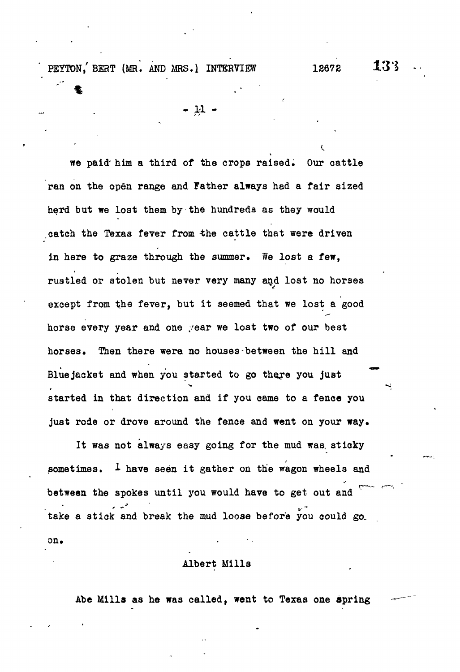PEYTON, BERT (MR. AND MRS.) INTERVIEW 12672 13<sup>3</sup>

 $- \mu$  .

we paid' him a third of the crops raised. Our cattle ran on the open range and Father always had a fair sized herd but we lost them by the hundreds as they would catch the Texas fever from the cattle that were driven in here to graze through the summer. We lost a few, rustled or stolen but never very many and lost no horses except from the fever, but it seemed that we lost a good horse every year and one year we lost two of our best horses. Then there were no houses-between the hill and Bluejacket and when you started to go there you just started in that direction and if you came to a fence you just rode or drove around the fence and went on your way.

It was not always easy going for the mud was. sticky sometimes.  $I$  have seen it gather on the wagon wheels and between the spokes until you would have to get out and take a stick and break the mud loose before you could go. on.

## Albert Mills

Abe Mills as he was called, went to Texas one spring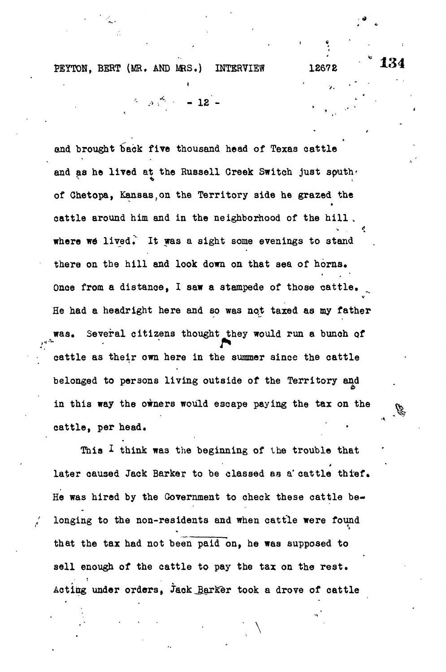$3x^2 - 12$ 

• < \*

•A

and brought back five thousand head of Texas cattle and as he lived at the Russell Creek Switch just south. of Chetopa, Kansas,on the Territory side he grazed the cattle around him and in the neighborhood of the hill , where we lived. It was a sight some evenings to stand there on the hill and look down on that sea of horns. Once from a distance, I saw a stampede of those cattle. He had a headright here and so was not taxed as my father Several citizens thought they would run a bunch of cattle as their own here in the summer since the cattle belonged to persons living outside of the Territory and in this way the owners would escape paying the tax on the cattle, per head.

This  $I$  think was the beginning of the trouble that later caused Jack Barker to be classed as a' cattle thief. He was hired by the Government to check these cattle belonging to the non-residents and when cattle were found that the tax had not been paid on, he was supposed to sell enough of the cattle to pay the tax on the rest. Acting under orders, Jaok\_B\_arKer took a drove of cattle